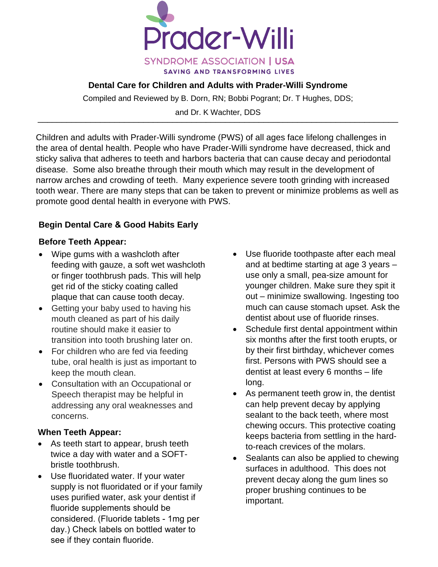

### **Dental Care for Children and Adults with Prader-Willi Syndrome**

Compiled and Reviewed by B. Dorn, RN; Bobbi Pogrant; Dr. T Hughes, DDS;

and Dr. K Wachter, DDS \_\_\_\_\_\_\_\_\_\_\_\_\_\_\_\_\_\_\_\_\_\_\_\_\_\_\_\_\_\_\_\_\_\_\_\_\_\_\_\_\_\_\_\_\_\_\_\_\_\_\_\_\_\_\_\_\_\_\_\_\_\_\_\_\_\_\_\_\_\_\_\_\_\_\_

Children and adults with Prader-Willi syndrome (PWS) of all ages face lifelong challenges in the area of dental health. People who have Prader-Willi syndrome have decreased, thick and sticky saliva that adheres to teeth and harbors bacteria that can cause decay and periodontal disease. Some also breathe through their mouth which may result in the development of narrow arches and crowding of teeth. Many experience severe tooth grinding with increased tooth wear. There are many steps that can be taken to prevent or minimize problems as well as promote good dental health in everyone with PWS.

# **Begin Dental Care & Good Habits Early**

## **Before Teeth Appear:**

- Wipe gums with a washcloth after feeding with gauze, a soft wet washcloth or finger toothbrush pads. This will help get rid of the sticky coating called plaque that can cause tooth decay.
- Getting your baby used to having his mouth cleaned as part of his daily routine should make it easier to transition into tooth brushing later on.
- For children who are fed via feeding tube, oral health is just as important to keep the mouth clean.
- Consultation with an Occupational or Speech therapist may be helpful in addressing any oral weaknesses and concerns.

## **When Teeth Appear:**

- As teeth start to appear, brush teeth twice a day with water and a SOFTbristle toothbrush.
- Use fluoridated water. If your water supply is not fluoridated or if your family uses purified water, ask your dentist if fluoride supplements should be considered. (Fluoride tablets - 1mg per day.) Check labels on bottled water to see if they contain fluoride.
- Use fluoride toothpaste after each meal and at bedtime starting at age 3 years – use only a small, pea-size amount for younger children. Make sure they spit it out – minimize swallowing. Ingesting too much can cause stomach upset. Ask the dentist about use of fluoride rinses.
- Schedule first dental appointment within six months after the first tooth erupts, or by their first birthday, whichever comes first. Persons with PWS should see a dentist at least every 6 months – life long.
- As permanent teeth grow in, the dentist can help prevent decay by applying sealant to the back teeth, where most chewing occurs. This protective coating keeps bacteria from settling in the hardto-reach crevices of the molars.
- Sealants can also be applied to chewing surfaces in adulthood. This does not prevent decay along the gum lines so proper brushing continues to be important.